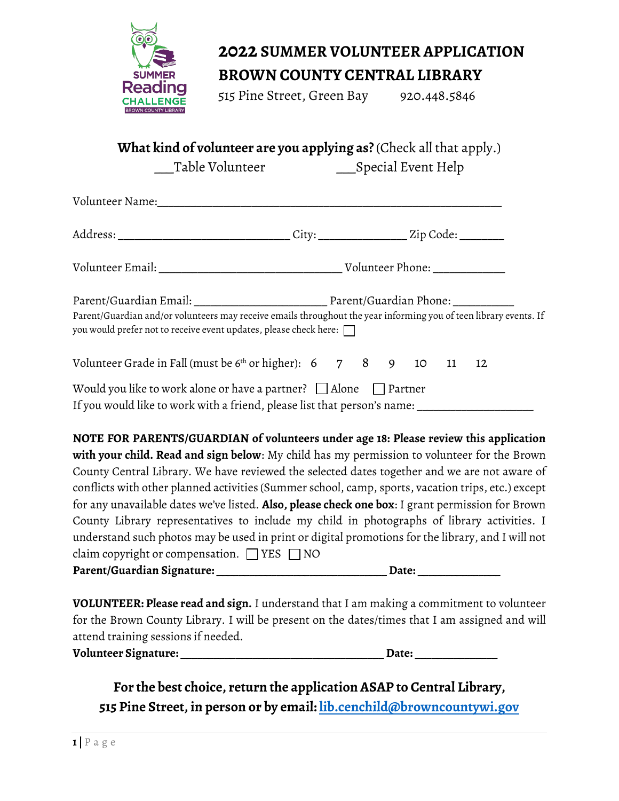

# **2022 SUMMER VOLUNTEER APPLICATION**

### **BROWN COUNTY CENTRAL LIBRARY**

515 Pine Street, Green Bay 920.448.5846

#### **What kind of volunteer are you applying as?** (Check all that apply.)

Table Volunteer **Special Event Help** 

| Address: _________________________________City: _________________Zip Code: _________                                                                                                          |  |  |  |
|-----------------------------------------------------------------------------------------------------------------------------------------------------------------------------------------------|--|--|--|
|                                                                                                                                                                                               |  |  |  |
| Parent/Guardian and/or volunteers may receive emails throughout the year informing you of teen library events. If<br>you would prefer not to receive event updates, please check here: $\Box$ |  |  |  |
| Volunteer Grade in Fall (must be $6th$ or higher): $6$ 7 8 9 10 11 12                                                                                                                         |  |  |  |
| Would you like to work alone or have a partner? $\Box$ Alone $\Box$ Partner<br>If you would like to work with a friend, please list that person's name: _____________                         |  |  |  |

| NOTE FOR PARENTS/GUARDIAN of volunteers under age 18: Please review this application               |
|----------------------------------------------------------------------------------------------------|
| with your child. Read and sign below: My child has my permission to volunteer for the Brown        |
| County Central Library. We have reviewed the selected dates together and we are not aware of       |
| conflicts with other planned activities (Summer school, camp, sports, vacation trips, etc.) except |
| for any unavailable dates we've listed. Also, please check one box: I grant permission for Brown   |
| County Library representatives to include my child in photographs of library activities. I         |
| understand such photos may be used in print or digital promotions for the library, and I will not  |
| claim copyright or compensation. $\Box$ YES $\Box$ NO                                              |
| Parent/Guardian Signature:<br>Date:                                                                |

**VOLUNTEER: Please read and sign.** I understand that I am making a commitment to volunteer for the Brown County Library. I will be present on the dates/times that I am assigned and will attend training sessions if needed.

**Volunteer Signature: \_\_\_\_\_\_\_\_\_\_\_\_\_\_\_\_\_\_\_\_\_\_\_\_\_\_\_\_\_\_\_\_\_\_\_\_\_ Date: \_\_\_\_\_\_\_\_\_\_\_\_\_\_\_**

**For the best choice, return the application ASAP to Central Library, 515 Pine Street, in person or by email: [lib.cenchild@browncountywi.gov](mailto:lib.cenchild@browncountywi.gov)**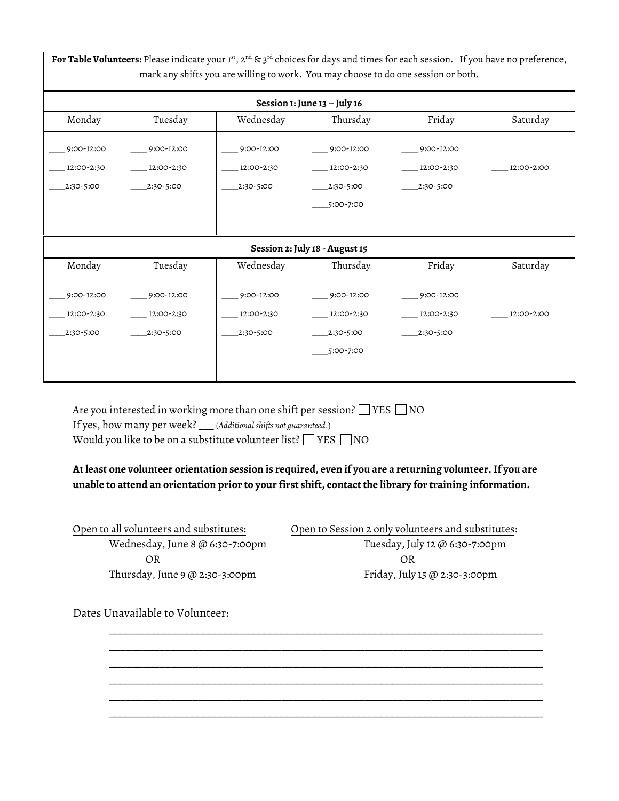For Table Volunteers: Please indicate your 1st, 2<sup>nd</sup> & 3<sup>rd</sup> choices for days and times for each session. If you have no preference, mark any shifts you are willing to work. You may choose to do one session or both. **Session 1: June 13 – July 16** Monday Tuesday Wednesday Thursday Friday Saturday  $-9:00-12:00$  $\_ 12:00 - 2:30$ \_\_\_\_2:30-5:00  $-9:00-12:00$  $\_12:00-2:30$ \_\_\_\_2:30-5:00  $-9:00-12:00$  $\_12:00-2:30$ \_\_\_\_2:30-5:00  $-9:00-12:00$  $\_ 12:00 - 2:30$ \_\_\_\_2:30-5:00 \_\_\_\_5:00-7:00  $-9:00-12:00$  $-12:00-2:30$ \_\_\_\_2:30-5:00 \_\_\_\_ 12:00-2:00 **Session 2: July 18 - August 15** Monday Tuesday Wednesday Thursday Friday Saturday \_\_\_\_ 9:00-12:00 \_\_\_\_ 12:00-2:30 \_\_\_\_ 9:00-12:00 \_\_\_\_ 12:00-2:30  $-9:00-12:00$ \_\_\_\_ 12:00-2:30 \_\_\_\_ 9:00-12:00 \_\_\_\_ 12:00-2:30 \_\_\_\_ 9:00-12:00 \_\_\_\_ 12:00-2:30 \_\_\_\_ 12:00-2:00

> \_\_\_\_2:30-5:00  $\_5:00-7:00$

Would you like to be on a substitute volunteer list?  $\Box$  YES  $\Box$  NO

Are you interested in working more than one shift per session?  $\Box$  YES  $\Box$  NO

\_\_\_\_2:30-5:00

If yes, how many per week? \_\_\_ (*Additional shifts not guaranteed*.)

**At least one volunteer orientation session is required, even if you are a returning volunteer. If you are unable to attend an orientation prior to your first shift, contact the library for training information.**

\_\_\_\_\_\_\_\_\_\_\_\_\_\_\_\_\_\_\_\_\_\_\_\_\_\_\_\_\_\_\_\_\_\_\_\_\_\_\_\_\_\_\_\_\_\_\_\_\_\_\_\_\_\_\_\_\_\_\_\_\_\_\_\_\_\_\_\_\_\_\_\_\_\_\_\_\_\_ \_\_\_\_\_\_\_\_\_\_\_\_\_\_\_\_\_\_\_\_\_\_\_\_\_\_\_\_\_\_\_\_\_\_\_\_\_\_\_\_\_\_\_\_\_\_\_\_\_\_\_\_\_\_\_\_\_\_\_\_\_\_\_\_\_\_\_\_\_\_\_\_\_\_\_\_\_\_ \_\_\_\_\_\_\_\_\_\_\_\_\_\_\_\_\_\_\_\_\_\_\_\_\_\_\_\_\_\_\_\_\_\_\_\_\_\_\_\_\_\_\_\_\_\_\_\_\_\_\_\_\_\_\_\_\_\_\_\_\_\_\_\_\_\_\_\_\_\_\_\_\_\_\_\_\_\_ \_\_\_\_\_\_\_\_\_\_\_\_\_\_\_\_\_\_\_\_\_\_\_\_\_\_\_\_\_\_\_\_\_\_\_\_\_\_\_\_\_\_\_\_\_\_\_\_\_\_\_\_\_\_\_\_\_\_\_\_\_\_\_\_\_\_\_\_\_\_\_\_\_\_\_\_\_\_ \_\_\_\_\_\_\_\_\_\_\_\_\_\_\_\_\_\_\_\_\_\_\_\_\_\_\_\_\_\_\_\_\_\_\_\_\_\_\_\_\_\_\_\_\_\_\_\_\_\_\_\_\_\_\_\_\_\_\_\_\_\_\_\_\_\_\_\_\_\_\_\_\_\_\_\_\_\_ \_\_\_\_\_\_\_\_\_\_\_\_\_\_\_\_\_\_\_\_\_\_\_\_\_\_\_\_\_\_\_\_\_\_\_\_\_\_\_\_\_\_\_\_\_\_\_\_\_\_\_\_\_\_\_\_\_\_\_\_\_\_\_\_\_\_\_\_\_\_\_\_\_\_\_\_\_\_

Open to all volunteers and substitutes: Open to Session 2 only volunteers and substitutes: OR OR Thursday, June 9 @ 2:30-3:00pm Friday, July 15 @ 2:30-3:00pm

\_\_\_\_2:30-5:00

Wednesday, June 8 @ 6:30-7:00pm Tuesday, July 12 @ 6:30-7:00pm

\_\_\_\_2:30-5:00

Dates Unavailable to Volunteer:

\_\_\_\_2:30-5:00